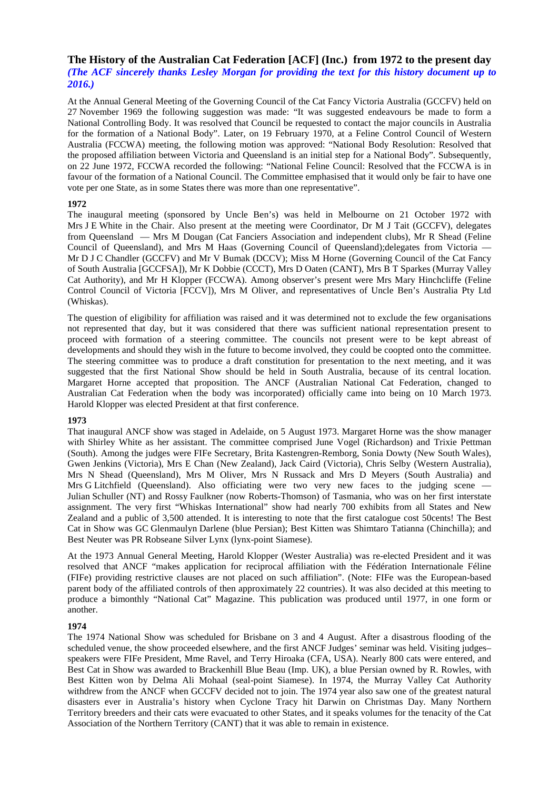# **The History of the Australian Cat Federation [ACF] (Inc.) from 1972 to the present day**  *(The ACF sincerely thanks Lesley Morgan for providing the text for this history document up to 2016.)*

At the Annual General Meeting of the Governing Council of the Cat Fancy Victoria Australia (GCCFV) held on 27 November 1969 the following suggestion was made: "It was suggested endeavours be made to form a National Controlling Body. It was resolved that Council be requested to contact the major councils in Australia for the formation of a National Body". Later, on 19 February 1970, at a Feline Control Council of Western Australia (FCCWA) meeting, the following motion was approved: "National Body Resolution: Resolved that the proposed affiliation between Victoria and Queensland is an initial step for a National Body". Subsequently, on 22 June 1972, FCCWA recorded the following: "National Feline Council: Resolved that the FCCWA is in favour of the formation of a National Council. The Committee emphasised that it would only be fair to have one vote per one State, as in some States there was more than one representative".

## **1972**

The inaugural meeting (sponsored by Uncle Ben's) was held in Melbourne on 21 October 1972 with Mrs J E White in the Chair. Also present at the meeting were Coordinator, Dr M J Tait (GCCFV), delegates from Queensland — Mrs M Dougan (Cat Fanciers Association and independent clubs), Mr R Shead (Feline Council of Queensland), and Mrs M Haas (Governing Council of Queensland);delegates from Victoria — Mr D J C Chandler (GCCFV) and Mr V Bumak (DCCV); Miss M Horne (Governing Council of the Cat Fancy of South Australia [GCCFSA]), Mr K Dobbie (CCCT), Mrs D Oaten (CANT), Mrs B T Sparkes (Murray Valley Cat Authority), and Mr H Klopper (FCCWA). Among observer's present were Mrs Mary Hinchcliffe (Feline Control Council of Victoria [FCCV]), Mrs M Oliver, and representatives of Uncle Ben's Australia Pty Ltd (Whiskas).

The question of eligibility for affiliation was raised and it was determined not to exclude the few organisations not represented that day, but it was considered that there was sufficient national representation present to proceed with formation of a steering committee. The councils not present were to be kept abreast of developments and should they wish in the future to become involved, they could be coopted onto the committee. The steering committee was to produce a draft constitution for presentation to the next meeting, and it was suggested that the first National Show should be held in South Australia, because of its central location. Margaret Horne accepted that proposition. The ANCF (Australian National Cat Federation, changed to Australian Cat Federation when the body was incorporated) officially came into being on 10 March 1973. Harold Klopper was elected President at that first conference.

#### **1973**

That inaugural ANCF show was staged in Adelaide, on 5 August 1973. Margaret Horne was the show manager with Shirley White as her assistant. The committee comprised June Vogel (Richardson) and Trixie Pettman (South). Among the judges were FIFe Secretary, Brita Kastengren-Remborg, Sonia Dowty (New South Wales), Gwen Jenkins (Victoria), Mrs E Chan (New Zealand), Jack Caird (Victoria), Chris Selby (Western Australia), Mrs N Shead (Queensland), Mrs M Oliver, Mrs N Russack and Mrs D Meyers (South Australia) and Mrs G Litchfield (Queensland). Also officiating were two very new faces to the judging scene — Julian Schuller (NT) and Rossy Faulkner (now Roberts-Thomson) of Tasmania, who was on her first interstate assignment. The very first "Whiskas International" show had nearly 700 exhibits from all States and New Zealand and a public of 3,500 attended. It is interesting to note that the first catalogue cost 50cents! The Best Cat in Show was GC Glenmaulyn Darlene (blue Persian); Best Kitten was Shimtaro Tatianna (Chinchilla); and Best Neuter was PR Robseane Silver Lynx (lynx-point Siamese).

At the 1973 Annual General Meeting, Harold Klopper (Wester Australia) was re-elected President and it was resolved that ANCF "makes application for reciprocal affiliation with the Fédération Internationale Féline (FIFe) providing restrictive clauses are not placed on such affiliation". (Note: FIFe was the European-based parent body of the affiliated controls of then approximately 22 countries). It was also decided at this meeting to produce a bimonthly "National Cat" Magazine. This publication was produced until 1977, in one form or another.

#### **1974**

The 1974 National Show was scheduled for Brisbane on 3 and 4 August. After a disastrous flooding of the scheduled venue, the show proceeded elsewhere, and the first ANCF Judges' seminar was held. Visiting judges– speakers were FIFe President, Mme Ravel, and Terry Hiroaka (CFA, USA). Nearly 800 cats were entered, and Best Cat in Show was awarded to Brackenhill Blue Beau (Imp. UK), a blue Persian owned by R. Rowles, with Best Kitten won by Delma Ali Mohaal (seal-point Siamese). In 1974, the Murray Valley Cat Authority withdrew from the ANCF when GCCFV decided not to join. The 1974 year also saw one of the greatest natural disasters ever in Australia's history when Cyclone Tracy hit Darwin on Christmas Day. Many Northern Territory breeders and their cats were evacuated to other States, and it speaks volumes for the tenacity of the Cat Association of the Northern Territory (CANT) that it was able to remain in existence.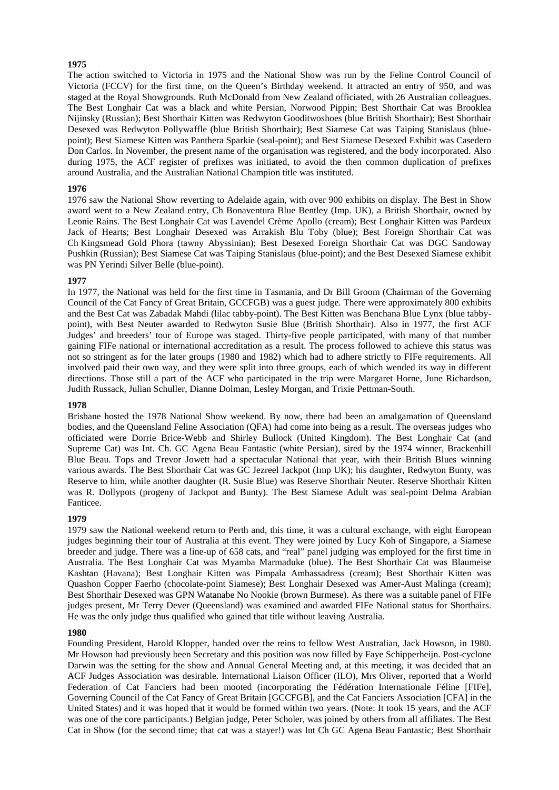The action switched to Victoria in 1975 and the National Show was run by the Feline Control Council of Victoria (FCCV) for the first time, on the Queen's Birthday weekend. It attracted an entry of 950, and was staged at the Royal Showgrounds. Ruth McDonald from New Zealand officiated, with 26 Australian colleagues. The Best Longhair Cat was a black and white Persian, Norwood Pippin; Best Shorthair Cat was Brooklea Nijinsky (Russian); Best Shorthair Kitten was Redwyton Gooditwoshoes (blue British Shorthair); Best Shorthair Desexed was Redwyton Pollywaffle (blue British Shorthair); Best Siamese Cat was Taiping Stanislaus (bluepoint); Best Siamese Kitten was Panthera Sparkie (seal-point); and Best Siamese Desexed Exhibit was Casedero Don Carlos. In November, the present name of the organisation was registered, and the body incorporated. Also during 1975, the ACF register of prefixes was initiated, to avoid the then common duplication of prefixes around Australia, and the Australian National Champion title was instituted.

### **1976**

1976 saw the National Show reverting to Adelaide again, with over 900 exhibits on display. The Best in Show award went to a New Zealand entry, Ch Bonaventura Blue Bentley (Imp. UK), a British Shorthair, owned by Leonie Rains. The Best Longhair Cat was Lavendel Crème Apollo (cream); Best Longhair Kitten was Pardeux Jack of Hearts; Best Longhair Desexed was Arrakish Blu Toby (blue); Best Foreign Shorthair Cat was Ch Kingsmead Gold Phora (tawny Abyssinian); Best Desexed Foreign Shorthair Cat was DGC Sandoway Pushkin (Russian); Best Siamese Cat was Taiping Stanislaus (blue-point); and the Best Desexed Siamese exhibit was PN Yerindi Silver Belle (blue-point).

## **1977**

In 1977, the National was held for the first time in Tasmania, and Dr Bill Groom (Chairman of the Governing Council of the Cat Fancy of Great Britain, GCCFGB) was a guest judge. There were approximately 800 exhibits and the Best Cat was Zabadak Mahdi (lilac tabby-point). The Best Kitten was Benchana Blue Lynx (blue tabbypoint), with Best Neuter awarded to Redwyton Susie Blue (British Shorthair). Also in 1977, the first ACF Judges' and breeders' tour of Europe was staged. Thirty-five people participated, with many of that number gaining FIFe national or international accreditation as a result. The process followed to achieve this status was not so stringent as for the later groups (1980 and 1982) which had to adhere strictly to FIFe requirements. All involved paid their own way, and they were split into three groups, each of which wended its way in different directions. Those still a part of the ACF who participated in the trip were Margaret Horne, June Richardson, Judith Russack, Julian Schuller, Dianne Dolman, Lesley Morgan, and Trixie Pettman-South.

#### **1978**

Brisbane hosted the 1978 National Show weekend. By now, there had been an amalgamation of Queensland bodies, and the Queensland Feline Association (QFA) had come into being as a result. The overseas judges who officiated were Dorrie Brice-Webb and Shirley Bullock (United Kingdom). The Best Longhair Cat (and Supreme Cat) was Int. Ch. GC Agena Beau Fantastic (white Persian), sired by the 1974 winner, Brackenhill Blue Beau. Tops and Trevor Jowett had a spectacular National that year, with their British Blues winning various awards. The Best Shorthair Cat was GC Jezreel Jackpot (Imp UK); his daughter, Redwyton Bunty, was Reserve to him, while another daughter (R. Susie Blue) was Reserve Shorthair Neuter. Reserve Shorthair Kitten was R. Dollypots (progeny of Jackpot and Bunty). The Best Siamese Adult was seal-point Delma Arabian Fanticee.

#### **1979**

1979 saw the National weekend return to Perth and, this time, it was a cultural exchange, with eight European judges beginning their tour of Australia at this event. They were joined by Lucy Koh of Singapore, a Siamese breeder and judge. There was a line-up of 658 cats, and "real" panel judging was employed for the first time in Australia. The Best Longhair Cat was Myamba Marmaduke (blue). The Best Shorthair Cat was Blaumeise Kashtan (Havana); Best Longhair Kitten was Pimpala Ambassadress (cream); Best Shorthair Kitten was Quashon Copper Faerho (chocolate-point Siamese); Best Longhair Desexed was Amer-Aust Malinga (cream); Best Shorthair Desexed was GPN Watanabe No Nookie (brown Burmese). As there was a suitable panel of FIFe judges present, Mr Terry Dever (Queensland) was examined and awarded FIFe National status for Shorthairs. He was the only judge thus qualified who gained that title without leaving Australia.

#### **1980**

Founding President, Harold Klopper, handed over the reins to fellow West Australian, Jack Howson, in 1980. Mr Howson had previously been Secretary and this position was now filled by Faye Schipperheijn. Post-cyclone Darwin was the setting for the show and Annual General Meeting and, at this meeting, it was decided that an ACF Judges Association was desirable. International Liaison Officer (ILO), Mrs Oliver, reported that a World Federation of Cat Fanciers had been mooted (incorporating the Fédération Internationale Féline [FIFe], Governing Council of the Cat Fancy of Great Britain [GCCFGB], and the Cat Fanciers Association [CFA] in the United States) and it was hoped that it would be formed within two years. (Note: It took 15 years, and the ACF was one of the core participants.) Belgian judge, Peter Scholer, was joined by others from all affiliates. The Best Cat in Show (for the second time; that cat was a stayer!) was Int Ch GC Agena Beau Fantastic; Best Shorthair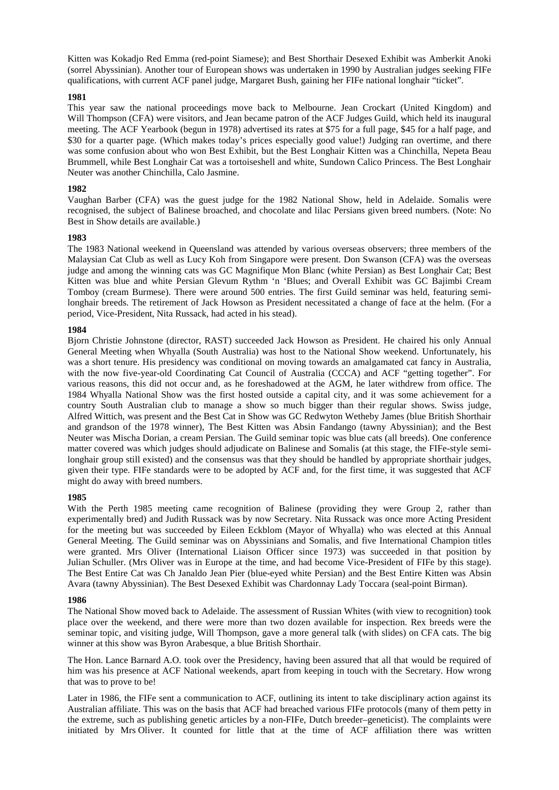Kitten was Kokadjo Red Emma (red-point Siamese); and Best Shorthair Desexed Exhibit was Amberkit Anoki (sorrel Abyssinian). Another tour of European shows was undertaken in 1990 by Australian judges seeking FIFe qualifications, with current ACF panel judge, Margaret Bush, gaining her FIFe national longhair "ticket".

## **1981**

This year saw the national proceedings move back to Melbourne. Jean Crockart (United Kingdom) and Will Thompson (CFA) were visitors, and Jean became patron of the ACF Judges Guild, which held its inaugural meeting. The ACF Yearbook (begun in 1978) advertised its rates at \$75 for a full page, \$45 for a half page, and \$30 for a quarter page. (Which makes today's prices especially good value!) Judging ran overtime, and there was some confusion about who won Best Exhibit, but the Best Longhair Kitten was a Chinchilla, Nepeta Beau Brummell, while Best Longhair Cat was a tortoiseshell and white, Sundown Calico Princess. The Best Longhair Neuter was another Chinchilla, Calo Jasmine.

## **1982**

Vaughan Barber (CFA) was the guest judge for the 1982 National Show, held in Adelaide. Somalis were recognised, the subject of Balinese broached, and chocolate and lilac Persians given breed numbers. (Note: No Best in Show details are available.)

## **1983**

The 1983 National weekend in Queensland was attended by various overseas observers; three members of the Malaysian Cat Club as well as Lucy Koh from Singapore were present. Don Swanson (CFA) was the overseas judge and among the winning cats was GC Magnifique Mon Blanc (white Persian) as Best Longhair Cat; Best Kitten was blue and white Persian Glevum Rythm 'n 'Blues; and Overall Exhibit was GC Bajimbi Cream Tomboy (cream Burmese). There were around 500 entries. The first Guild seminar was held, featuring semilonghair breeds. The retirement of Jack Howson as President necessitated a change of face at the helm. (For a period, Vice-President, Nita Russack, had acted in his stead).

## **1984**

Bjorn Christie Johnstone (director, RAST) succeeded Jack Howson as President. He chaired his only Annual General Meeting when Whyalla (South Australia) was host to the National Show weekend. Unfortunately, his was a short tenure. His presidency was conditional on moving towards an amalgamated cat fancy in Australia, with the now five-year-old Coordinating Cat Council of Australia (CCCA) and ACF "getting together". For various reasons, this did not occur and, as he foreshadowed at the AGM, he later withdrew from office. The 1984 Whyalla National Show was the first hosted outside a capital city, and it was some achievement for a country South Australian club to manage a show so much bigger than their regular shows. Swiss judge, Alfred Wittich, was present and the Best Cat in Show was GC Redwyton Wetheby James (blue British Shorthair and grandson of the 1978 winner), The Best Kitten was Absin Fandango (tawny Abyssinian); and the Best Neuter was Mischa Dorian, a cream Persian. The Guild seminar topic was blue cats (all breeds). One conference matter covered was which judges should adjudicate on Balinese and Somalis (at this stage, the FIFe-style semilonghair group still existed) and the consensus was that they should be handled by appropriate shorthair judges, given their type. FIFe standards were to be adopted by ACF and, for the first time, it was suggested that ACF might do away with breed numbers.

## **1985**

With the Perth 1985 meeting came recognition of Balinese (providing they were Group 2, rather than experimentally bred) and Judith Russack was by now Secretary. Nita Russack was once more Acting President for the meeting but was succeeded by Eileen Eckblom (Mayor of Whyalla) who was elected at this Annual General Meeting. The Guild seminar was on Abyssinians and Somalis, and five International Champion titles were granted. Mrs Oliver (International Liaison Officer since 1973) was succeeded in that position by Julian Schuller. (Mrs Oliver was in Europe at the time, and had become Vice-President of FIFe by this stage). The Best Entire Cat was Ch Janaldo Jean Pier (blue-eyed white Persian) and the Best Entire Kitten was Absin Avara (tawny Abyssinian). The Best Desexed Exhibit was Chardonnay Lady Toccara (seal-point Birman).

#### **1986**

The National Show moved back to Adelaide. The assessment of Russian Whites (with view to recognition) took place over the weekend, and there were more than two dozen available for inspection. Rex breeds were the seminar topic, and visiting judge, Will Thompson, gave a more general talk (with slides) on CFA cats. The big winner at this show was Byron Arabesque, a blue British Shorthair.

The Hon. Lance Barnard A.O. took over the Presidency, having been assured that all that would be required of him was his presence at ACF National weekends, apart from keeping in touch with the Secretary. How wrong that was to prove to be!

Later in 1986, the FIFe sent a communication to ACF, outlining its intent to take disciplinary action against its Australian affiliate. This was on the basis that ACF had breached various FIFe protocols (many of them petty in the extreme, such as publishing genetic articles by a non-FIFe, Dutch breeder–geneticist). The complaints were initiated by Mrs Oliver. It counted for little that at the time of ACF affiliation there was written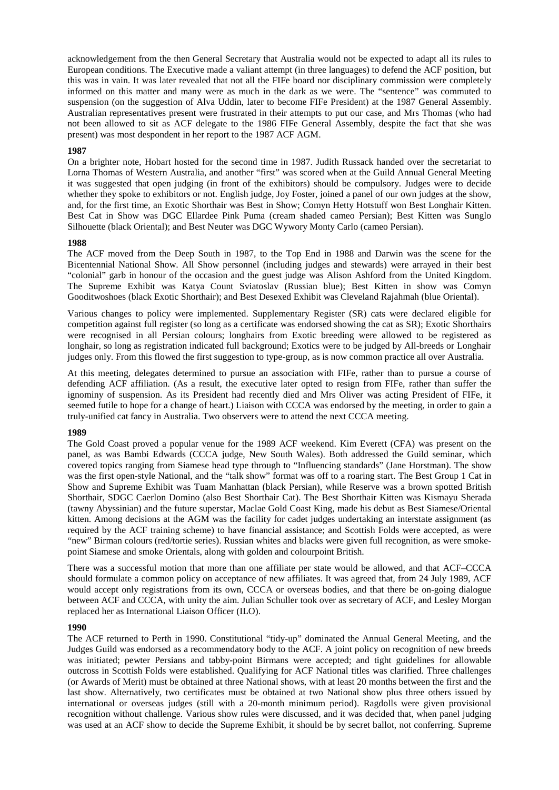acknowledgement from the then General Secretary that Australia would not be expected to adapt all its rules to European conditions. The Executive made a valiant attempt (in three languages) to defend the ACF position, but this was in vain. It was later revealed that not all the FIFe board nor disciplinary commission were completely informed on this matter and many were as much in the dark as we were. The "sentence" was commuted to suspension (on the suggestion of Alva Uddin, later to become FIFe President) at the 1987 General Assembly. Australian representatives present were frustrated in their attempts to put our case, and Mrs Thomas (who had not been allowed to sit as ACF delegate to the 1986 FIFe General Assembly, despite the fact that she was present) was most despondent in her report to the 1987 ACF AGM.

## **1987**

On a brighter note, Hobart hosted for the second time in 1987. Judith Russack handed over the secretariat to Lorna Thomas of Western Australia, and another "first" was scored when at the Guild Annual General Meeting it was suggested that open judging (in front of the exhibitors) should be compulsory. Judges were to decide whether they spoke to exhibitors or not. English judge, Joy Foster, joined a panel of our own judges at the show, and, for the first time, an Exotic Shorthair was Best in Show; Comyn Hetty Hotstuff won Best Longhair Kitten. Best Cat in Show was DGC Ellardee Pink Puma (cream shaded cameo Persian); Best Kitten was Sunglo Silhouette (black Oriental); and Best Neuter was DGC Wywory Monty Carlo (cameo Persian).

#### **1988**

The ACF moved from the Deep South in 1987, to the Top End in 1988 and Darwin was the scene for the Bicentennial National Show. All Show personnel (including judges and stewards) were arrayed in their best "colonial" garb in honour of the occasion and the guest judge was Alison Ashford from the United Kingdom. The Supreme Exhibit was Katya Count Sviatoslav (Russian blue); Best Kitten in show was Comyn Gooditwoshoes (black Exotic Shorthair); and Best Desexed Exhibit was Cleveland Rajahmah (blue Oriental).

Various changes to policy were implemented. Supplementary Register (SR) cats were declared eligible for competition against full register (so long as a certificate was endorsed showing the cat as SR); Exotic Shorthairs were recognised in all Persian colours; longhairs from Exotic breeding were allowed to be registered as longhair, so long as registration indicated full background; Exotics were to be judged by All-breeds or Longhair judges only. From this flowed the first suggestion to type-group, as is now common practice all over Australia.

At this meeting, delegates determined to pursue an association with FIFe, rather than to pursue a course of defending ACF affiliation. (As a result, the executive later opted to resign from FIFe, rather than suffer the ignominy of suspension. As its President had recently died and Mrs Oliver was acting President of FIFe, it seemed futile to hope for a change of heart.) Liaison with CCCA was endorsed by the meeting, in order to gain a truly-unified cat fancy in Australia. Two observers were to attend the next CCCA meeting.

#### **1989**

The Gold Coast proved a popular venue for the 1989 ACF weekend. Kim Everett (CFA) was present on the panel, as was Bambi Edwards (CCCA judge, New South Wales). Both addressed the Guild seminar, which covered topics ranging from Siamese head type through to "Influencing standards" (Jane Horstman). The show was the first open-style National, and the "talk show" format was off to a roaring start. The Best Group 1 Cat in Show and Supreme Exhibit was Tuam Manhattan (black Persian), while Reserve was a brown spotted British Shorthair, SDGC Caerlon Domino (also Best Shorthair Cat). The Best Shorthair Kitten was Kismayu Sherada (tawny Abyssinian) and the future superstar, Maclae Gold Coast King, made his debut as Best Siamese/Oriental kitten. Among decisions at the AGM was the facility for cadet judges undertaking an interstate assignment (as required by the ACF training scheme) to have financial assistance; and Scottish Folds were accepted, as were "new" Birman colours (red/tortie series). Russian whites and blacks were given full recognition, as were smokepoint Siamese and smoke Orientals, along with golden and colourpoint British.

There was a successful motion that more than one affiliate per state would be allowed, and that ACF–CCCA should formulate a common policy on acceptance of new affiliates. It was agreed that, from 24 July 1989, ACF would accept only registrations from its own, CCCA or overseas bodies, and that there be on-going dialogue between ACF and CCCA, with unity the aim. Julian Schuller took over as secretary of ACF, and Lesley Morgan replaced her as International Liaison Officer (ILO).

## **1990**

The ACF returned to Perth in 1990. Constitutional "tidy-up" dominated the Annual General Meeting, and the Judges Guild was endorsed as a recommendatory body to the ACF. A joint policy on recognition of new breeds was initiated; pewter Persians and tabby-point Birmans were accepted; and tight guidelines for allowable outcross in Scottish Folds were established. Qualifying for ACF National titles was clarified. Three challenges (or Awards of Merit) must be obtained at three National shows, with at least 20 months between the first and the last show. Alternatively, two certificates must be obtained at two National show plus three others issued by international or overseas judges (still with a 20-month minimum period). Ragdolls were given provisional recognition without challenge. Various show rules were discussed, and it was decided that, when panel judging was used at an ACF show to decide the Supreme Exhibit, it should be by secret ballot, not conferring. Supreme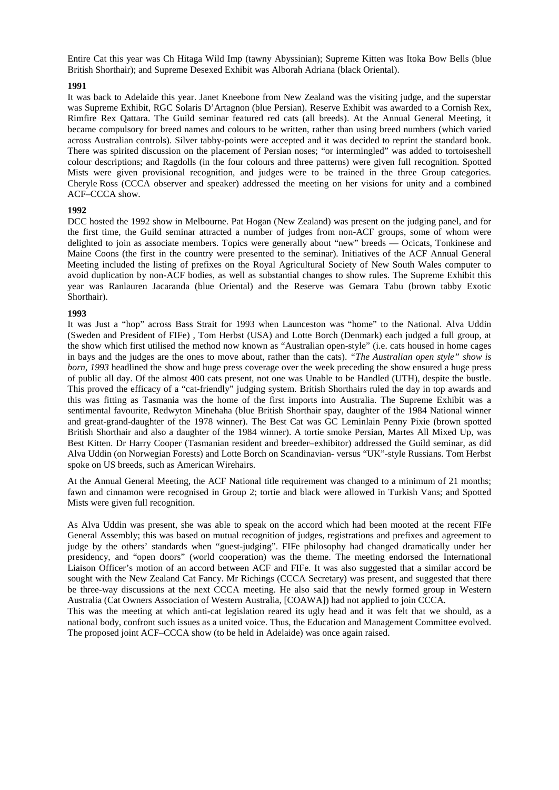Entire Cat this year was Ch Hitaga Wild Imp (tawny Abyssinian); Supreme Kitten was Itoka Bow Bells (blue British Shorthair); and Supreme Desexed Exhibit was Alborah Adriana (black Oriental).

#### **1991**

It was back to Adelaide this year. Janet Kneebone from New Zealand was the visiting judge, and the superstar was Supreme Exhibit, RGC Solaris D'Artagnon (blue Persian). Reserve Exhibit was awarded to a Cornish Rex, Rimfire Rex Qattara. The Guild seminar featured red cats (all breeds). At the Annual General Meeting, it became compulsory for breed names and colours to be written, rather than using breed numbers (which varied across Australian controls). Silver tabby-points were accepted and it was decided to reprint the standard book. There was spirited discussion on the placement of Persian noses; "or intermingled" was added to tortoiseshell colour descriptions; and Ragdolls (in the four colours and three patterns) were given full recognition. Spotted Mists were given provisional recognition, and judges were to be trained in the three Group categories. Cheryle Ross (CCCA observer and speaker) addressed the meeting on her visions for unity and a combined ACF–CCCA show.

#### **1992**

DCC hosted the 1992 show in Melbourne. Pat Hogan (New Zealand) was present on the judging panel, and for the first time, the Guild seminar attracted a number of judges from non-ACF groups, some of whom were delighted to join as associate members. Topics were generally about "new" breeds — Ocicats, Tonkinese and Maine Coons (the first in the country were presented to the seminar). Initiatives of the ACF Annual General Meeting included the listing of prefixes on the Royal Agricultural Society of New South Wales computer to avoid duplication by non-ACF bodies, as well as substantial changes to show rules. The Supreme Exhibit this year was Ranlauren Jacaranda (blue Oriental) and the Reserve was Gemara Tabu (brown tabby Exotic Shorthair).

#### **1993**

It was Just a "hop" across Bass Strait for 1993 when Launceston was "home" to the National. Alva Uddin (Sweden and President of FIFe) , Tom Herbst (USA) and Lotte Borch (Denmark) each judged a full group, at the show which first utilised the method now known as "Australian open-style" (i.e. cats housed in home cages in bays and the judges are the ones to move about, rather than the cats). *"The Australian open style" show is born, 1993* headlined the show and huge press coverage over the week preceding the show ensured a huge press of public all day. Of the almost 400 cats present, not one was Unable to be Handled (UTH), despite the bustle. This proved the efficacy of a "cat-friendly" judging system. British Shorthairs ruled the day in top awards and this was fitting as Tasmania was the home of the first imports into Australia. The Supreme Exhibit was a sentimental favourite, Redwyton Minehaha (blue British Shorthair spay, daughter of the 1984 National winner and great-grand-daughter of the 1978 winner). The Best Cat was GC Leminlain Penny Pixie (brown spotted British Shorthair and also a daughter of the 1984 winner). A tortie smoke Persian, Martes All Mixed Up, was Best Kitten. Dr Harry Cooper (Tasmanian resident and breeder–exhibitor) addressed the Guild seminar, as did Alva Uddin (on Norwegian Forests) and Lotte Borch on Scandinavian- versus "UK"-style Russians. Tom Herbst spoke on US breeds, such as American Wirehairs.

At the Annual General Meeting, the ACF National title requirement was changed to a minimum of 21 months; fawn and cinnamon were recognised in Group 2; tortie and black were allowed in Turkish Vans; and Spotted Mists were given full recognition.

As Alva Uddin was present, she was able to speak on the accord which had been mooted at the recent FIFe General Assembly; this was based on mutual recognition of judges, registrations and prefixes and agreement to judge by the others' standards when "guest-judging". FIFe philosophy had changed dramatically under her presidency, and "open doors" (world cooperation) was the theme. The meeting endorsed the International Liaison Officer's motion of an accord between ACF and FIFe. It was also suggested that a similar accord be sought with the New Zealand Cat Fancy. Mr Richings (CCCA Secretary) was present, and suggested that there be three-way discussions at the next CCCA meeting. He also said that the newly formed group in Western Australia (Cat Owners Association of Western Australia, [COAWA]) had not applied to join CCCA.

This was the meeting at which anti-cat legislation reared its ugly head and it was felt that we should, as a national body, confront such issues as a united voice. Thus, the Education and Management Committee evolved. The proposed joint ACF–CCCA show (to be held in Adelaide) was once again raised.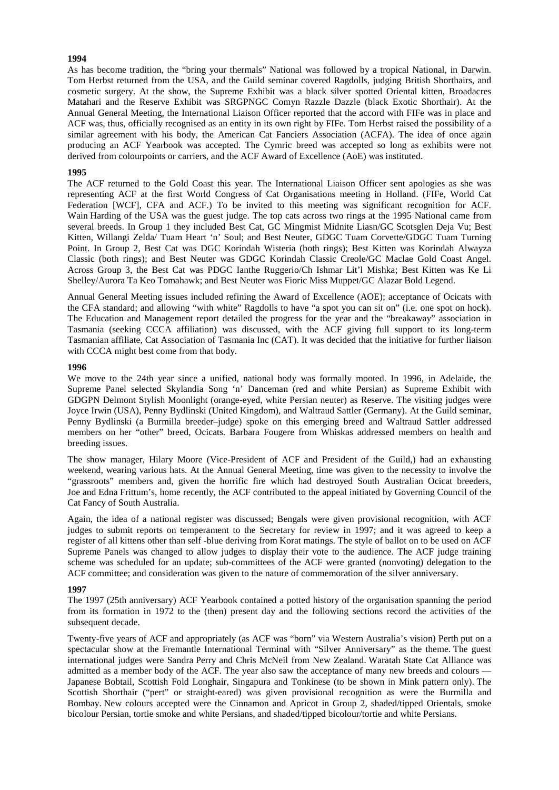As has become tradition, the "bring your thermals" National was followed by a tropical National, in Darwin. Tom Herbst returned from the USA, and the Guild seminar covered Ragdolls, judging British Shorthairs, and cosmetic surgery. At the show, the Supreme Exhibit was a black silver spotted Oriental kitten, Broadacres Matahari and the Reserve Exhibit was SRGPNGC Comyn Razzle Dazzle (black Exotic Shorthair). At the Annual General Meeting, the International Liaison Officer reported that the accord with FIFe was in place and ACF was, thus, officially recognised as an entity in its own right by FIFe. Tom Herbst raised the possibility of a similar agreement with his body, the American Cat Fanciers Association (ACFA). The idea of once again producing an ACF Yearbook was accepted. The Cymric breed was accepted so long as exhibits were not derived from colourpoints or carriers, and the ACF Award of Excellence (AoE) was instituted.

## **1995**

The ACF returned to the Gold Coast this year. The International Liaison Officer sent apologies as she was representing ACF at the first World Congress of Cat Organisations meeting in Holland. (FIFe, World Cat Federation [WCF], CFA and ACF.) To be invited to this meeting was significant recognition for ACF. Wain Harding of the USA was the guest judge. The top cats across two rings at the 1995 National came from several breeds. In Group 1 they included Best Cat, GC Mingmist Midnite Liasn/GC Scotsglen Deja Vu; Best Kitten, Willangi Zelda/ Tuam Heart 'n' Soul; and Best Neuter, GDGC Tuam Corvette/GDGC Tuam Turning Point. In Group 2, Best Cat was DGC Korindah Wisteria (both rings); Best Kitten was Korindah Alwayza Classic (both rings); and Best Neuter was GDGC Korindah Classic Creole/GC Maclae Gold Coast Angel. Across Group 3, the Best Cat was PDGC Ianthe Ruggerio/Ch Ishmar Lit'l Mishka; Best Kitten was Ke Li Shelley/Aurora Ta Keo Tomahawk; and Best Neuter was Fioric Miss Muppet/GC Alazar Bold Legend.

Annual General Meeting issues included refining the Award of Excellence (AOE); acceptance of Ocicats with the CFA standard; and allowing "with white" Ragdolls to have "a spot you can sit on" (i.e. one spot on hock). The Education and Management report detailed the progress for the year and the "breakaway" association in Tasmania (seeking CCCA affiliation) was discussed, with the ACF giving full support to its long-term Tasmanian affiliate, Cat Association of Tasmania Inc (CAT). It was decided that the initiative for further liaison with CCCA might best come from that body.

#### **1996**

We move to the 24th year since a unified, national body was formally mooted. In 1996, in Adelaide, the Supreme Panel selected Skylandia Song 'n' Danceman (red and white Persian) as Supreme Exhibit with GDGPN Delmont Stylish Moonlight (orange-eyed, white Persian neuter) as Reserve. The visiting judges were Joyce Irwin (USA), Penny Bydlinski (United Kingdom), and Waltraud Sattler (Germany). At the Guild seminar, Penny Bydlinski (a Burmilla breeder–judge) spoke on this emerging breed and Waltraud Sattler addressed members on her "other" breed, Ocicats. Barbara Fougere from Whiskas addressed members on health and breeding issues.

The show manager, Hilary Moore (Vice-President of ACF and President of the Guild,) had an exhausting weekend, wearing various hats. At the Annual General Meeting, time was given to the necessity to involve the "grassroots" members and, given the horrific fire which had destroyed South Australian Ocicat breeders, Joe and Edna Frittum's, home recently, the ACF contributed to the appeal initiated by Governing Council of the Cat Fancy of South Australia.

Again, the idea of a national register was discussed; Bengals were given provisional recognition, with ACF judges to submit reports on temperament to the Secretary for review in 1997; and it was agreed to keep a register of all kittens other than self -blue deriving from Korat matings. The style of ballot on to be used on ACF Supreme Panels was changed to allow judges to display their vote to the audience. The ACF judge training scheme was scheduled for an update; sub-committees of the ACF were granted (nonvoting) delegation to the ACF committee; and consideration was given to the nature of commemoration of the silver anniversary.

#### **1997**

The 1997 (25th anniversary) ACF Yearbook contained a potted history of the organisation spanning the period from its formation in 1972 to the (then) present day and the following sections record the activities of the subsequent decade.

Twenty-five years of ACF and appropriately (as ACF was "born" via Western Australia's vision) Perth put on a spectacular show at the Fremantle International Terminal with "Silver Anniversary" as the theme. The guest international judges were Sandra Perry and Chris McNeil from New Zealand. Waratah State Cat Alliance was admitted as a member body of the ACF. The year also saw the acceptance of many new breeds and colours — Japanese Bobtail, Scottish Fold Longhair, Singapura and Tonkinese (to be shown in Mink pattern only). The Scottish Shorthair ("pert" or straight-eared) was given provisional recognition as were the Burmilla and Bombay. New colours accepted were the Cinnamon and Apricot in Group 2, shaded/tipped Orientals, smoke bicolour Persian, tortie smoke and white Persians, and shaded/tipped bicolour/tortie and white Persians.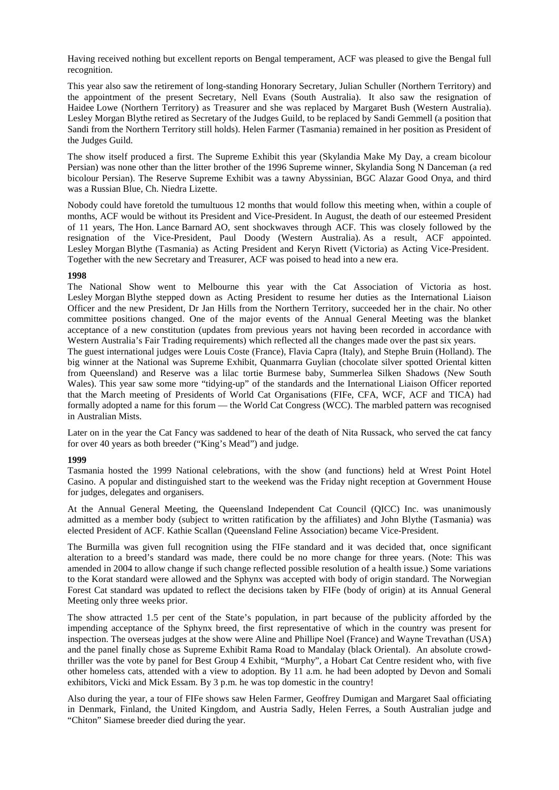Having received nothing but excellent reports on Bengal temperament, ACF was pleased to give the Bengal full recognition.

This year also saw the retirement of long-standing Honorary Secretary, Julian Schuller (Northern Territory) and the appointment of the present Secretary, Nell Evans (South Australia). It also saw the resignation of Haidee Lowe (Northern Territory) as Treasurer and she was replaced by Margaret Bush (Western Australia). Lesley Morgan Blythe retired as Secretary of the Judges Guild, to be replaced by Sandi Gemmell (a position that Sandi from the Northern Territory still holds). Helen Farmer (Tasmania) remained in her position as President of the Judges Guild.

The show itself produced a first. The Supreme Exhibit this year (Skylandia Make My Day, a cream bicolour Persian) was none other than the litter brother of the 1996 Supreme winner, Skylandia Song N Danceman (a red bicolour Persian). The Reserve Supreme Exhibit was a tawny Abyssinian, BGC Alazar Good Onya, and third was a Russian Blue, Ch. Niedra Lizette.

Nobody could have foretold the tumultuous 12 months that would follow this meeting when, within a couple of months, ACF would be without its President and Vice-President. In August, the death of our esteemed President of 11 years, The Hon. Lance Barnard AO, sent shockwaves through ACF. This was closely followed by the resignation of the Vice-President, Paul Doody (Western Australia). As a result, ACF appointed. Lesley Morgan Blythe (Tasmania) as Acting President and Keryn Rivett (Victoria) as Acting Vice-President. Together with the new Secretary and Treasurer, ACF was poised to head into a new era.

## **1998**

The National Show went to Melbourne this year with the Cat Association of Victoria as host. Lesley Morgan Blythe stepped down as Acting President to resume her duties as the International Liaison Officer and the new President, Dr Jan Hills from the Northern Territory, succeeded her in the chair. No other committee positions changed. One of the major events of the Annual General Meeting was the blanket acceptance of a new constitution (updates from previous years not having been recorded in accordance with Western Australia's Fair Trading requirements) which reflected all the changes made over the past six years.

The guest international judges were Louis Coste (France), Flavia Capra (Italy), and Stephe Bruin (Holland). The big winner at the National was Supreme Exhibit, Quanmarra Guylian (chocolate silver spotted Oriental kitten from Queensland) and Reserve was a lilac tortie Burmese baby, Summerlea Silken Shadows (New South Wales). This year saw some more "tidying-up" of the standards and the International Liaison Officer reported that the March meeting of Presidents of World Cat Organisations (FIFe, CFA, WCF, ACF and TICA) had formally adopted a name for this forum — the World Cat Congress (WCC). The marbled pattern was recognised in Australian Mists.

Later on in the year the Cat Fancy was saddened to hear of the death of Nita Russack, who served the cat fancy for over 40 years as both breeder ("King's Mead") and judge.

## **1999**

Tasmania hosted the 1999 National celebrations, with the show (and functions) held at Wrest Point Hotel Casino. A popular and distinguished start to the weekend was the Friday night reception at Government House for judges, delegates and organisers.

At the Annual General Meeting, the Queensland Independent Cat Council (QICC) Inc. was unanimously admitted as a member body (subject to written ratification by the affiliates) and John Blythe (Tasmania) was elected President of ACF. Kathie Scallan (Queensland Feline Association) became Vice-President.

The Burmilla was given full recognition using the FIFe standard and it was decided that, once significant alteration to a breed's standard was made, there could be no more change for three years. (Note: This was amended in 2004 to allow change if such change reflected possible resolution of a health issue.) Some variations to the Korat standard were allowed and the Sphynx was accepted with body of origin standard. The Norwegian Forest Cat standard was updated to reflect the decisions taken by FIFe (body of origin) at its Annual General Meeting only three weeks prior.

The show attracted 1.5 per cent of the State's population, in part because of the publicity afforded by the impending acceptance of the Sphynx breed, the first representative of which in the country was present for inspection. The overseas judges at the show were Aline and Phillipe Noel (France) and Wayne Trevathan (USA) and the panel finally chose as Supreme Exhibit Rama Road to Mandalay (black Oriental). An absolute crowdthriller was the vote by panel for Best Group 4 Exhibit, "Murphy", a Hobart Cat Centre resident who, with five other homeless cats, attended with a view to adoption. By 11 a.m. he had been adopted by Devon and Somali exhibitors, Vicki and Mick Essam. By 3 p.m. he was top domestic in the country!

Also during the year, a tour of FIFe shows saw Helen Farmer, Geoffrey Dumigan and Margaret Saal officiating in Denmark, Finland, the United Kingdom, and Austria Sadly, Helen Ferres, a South Australian judge and "Chiton" Siamese breeder died during the year.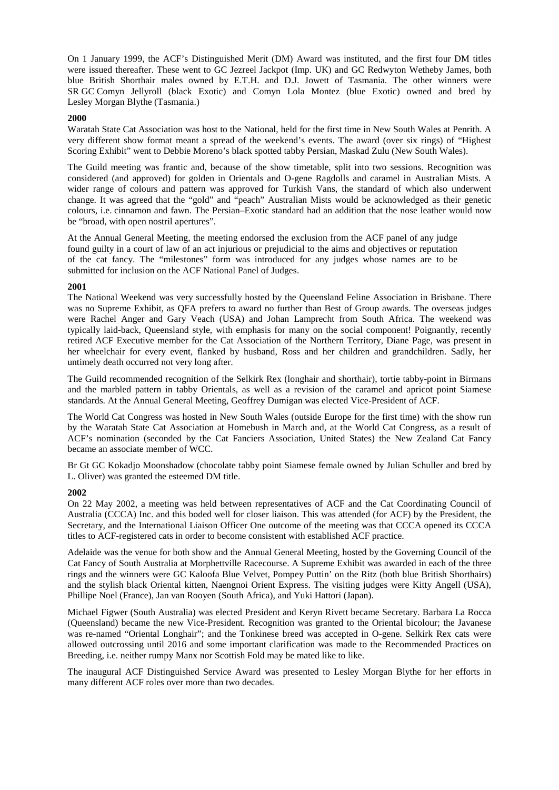On 1 January 1999, the ACF's Distinguished Merit (DM) Award was instituted, and the first four DM titles were issued thereafter. These went to GC Jezreel Jackpot (Imp. UK) and GC Redwyton Wetheby James, both blue British Shorthair males owned by E.T.H. and D.J. Jowett of Tasmania. The other winners were SR GC Comyn Jellyroll (black Exotic) and Comyn Lola Montez (blue Exotic) owned and bred by Lesley Morgan Blythe (Tasmania.)

### **2000**

Waratah State Cat Association was host to the National, held for the first time in New South Wales at Penrith. A very different show format meant a spread of the weekend's events. The award (over six rings) of "Highest Scoring Exhibit" went to Debbie Moreno's black spotted tabby Persian, Maskad Zulu (New South Wales).

The Guild meeting was frantic and, because of the show timetable, split into two sessions. Recognition was considered (and approved) for golden in Orientals and O-gene Ragdolls and caramel in Australian Mists. A wider range of colours and pattern was approved for Turkish Vans, the standard of which also underwent change. It was agreed that the "gold" and "peach" Australian Mists would be acknowledged as their genetic colours, i.e. cinnamon and fawn. The Persian–Exotic standard had an addition that the nose leather would now be "broad, with open nostril apertures".

At the Annual General Meeting, the meeting endorsed the exclusion from the ACF panel of any judge found guilty in a court of law of an act injurious or prejudicial to the aims and objectives or reputation of the cat fancy. The "milestones" form was introduced for any judges whose names are to be submitted for inclusion on the ACF National Panel of Judges.

## **2001**

The National Weekend was very successfully hosted by the Queensland Feline Association in Brisbane. There was no Supreme Exhibit, as QFA prefers to award no further than Best of Group awards. The overseas judges were Rachel Anger and Gary Veach (USA) and Johan Lamprecht from South Africa. The weekend was typically laid-back, Queensland style, with emphasis for many on the social component! Poignantly, recently retired ACF Executive member for the Cat Association of the Northern Territory, Diane Page, was present in her wheelchair for every event, flanked by husband, Ross and her children and grandchildren. Sadly, her untimely death occurred not very long after.

The Guild recommended recognition of the Selkirk Rex (longhair and shorthair), tortie tabby-point in Birmans and the marbled pattern in tabby Orientals, as well as a revision of the caramel and apricot point Siamese standards. At the Annual General Meeting, Geoffrey Dumigan was elected Vice-President of ACF.

The World Cat Congress was hosted in New South Wales (outside Europe for the first time) with the show run by the Waratah State Cat Association at Homebush in March and, at the World Cat Congress, as a result of ACF's nomination (seconded by the Cat Fanciers Association, United States) the New Zealand Cat Fancy became an associate member of WCC.

Br Gt GC Kokadjo Moonshadow (chocolate tabby point Siamese female owned by Julian Schuller and bred by L. Oliver) was granted the esteemed DM title.

## **2002**

On 22 May 2002, a meeting was held between representatives of ACF and the Cat Coordinating Council of Australia (CCCA) Inc. and this boded well for closer liaison. This was attended (for ACF) by the President, the Secretary, and the International Liaison Officer One outcome of the meeting was that CCCA opened its CCCA titles to ACF-registered cats in order to become consistent with established ACF practice.

Adelaide was the venue for both show and the Annual General Meeting, hosted by the Governing Council of the Cat Fancy of South Australia at Morphettville Racecourse. A Supreme Exhibit was awarded in each of the three rings and the winners were GC Kaloofa Blue Velvet, Pompey Puttin' on the Ritz (both blue British Shorthairs) and the stylish black Oriental kitten, Naengnoi Orient Express. The visiting judges were Kitty Angell (USA), Phillipe Noel (France), Jan van Rooyen (South Africa), and Yuki Hattori (Japan).

Michael Figwer (South Australia) was elected President and Keryn Rivett became Secretary. Barbara La Rocca (Queensland) became the new Vice-President. Recognition was granted to the Oriental bicolour; the Javanese was re-named "Oriental Longhair"; and the Tonkinese breed was accepted in O-gene. Selkirk Rex cats were allowed outcrossing until 2016 and some important clarification was made to the Recommended Practices on Breeding, i.e. neither rumpy Manx nor Scottish Fold may be mated like to like.

The inaugural ACF Distinguished Service Award was presented to Lesley Morgan Blythe for her efforts in many different ACF roles over more than two decades.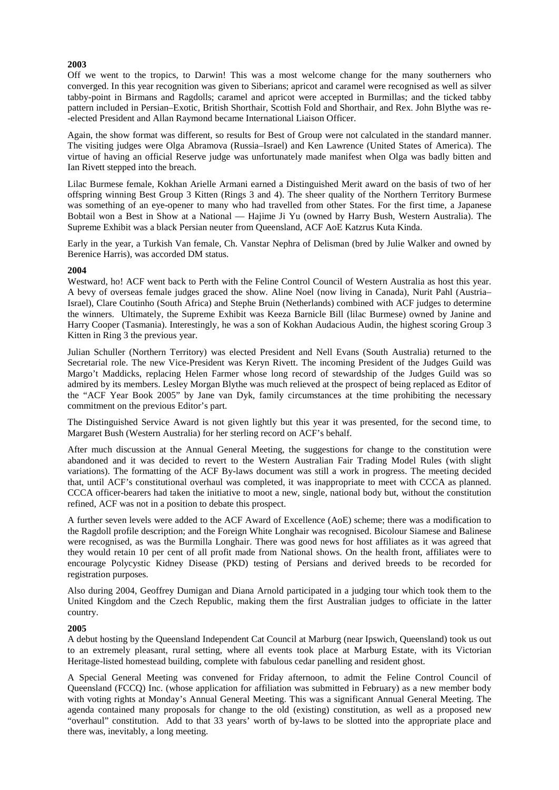Off we went to the tropics, to Darwin! This was a most welcome change for the many southerners who converged. In this year recognition was given to Siberians; apricot and caramel were recognised as well as silver tabby-point in Birmans and Ragdolls; caramel and apricot were accepted in Burmillas; and the ticked tabby pattern included in Persian–Exotic, British Shorthair, Scottish Fold and Shorthair, and Rex. John Blythe was re- -elected President and Allan Raymond became International Liaison Officer.

Again, the show format was different, so results for Best of Group were not calculated in the standard manner. The visiting judges were Olga Abramova (Russia–Israel) and Ken Lawrence (United States of America). The virtue of having an official Reserve judge was unfortunately made manifest when Olga was badly bitten and Ian Rivett stepped into the breach.

Lilac Burmese female, Kokhan Arielle Armani earned a Distinguished Merit award on the basis of two of her offspring winning Best Group 3 Kitten (Rings 3 and 4). The sheer quality of the Northern Territory Burmese was something of an eye-opener to many who had travelled from other States. For the first time, a Japanese Bobtail won a Best in Show at a National — Hajime Ji Yu (owned by Harry Bush, Western Australia). The Supreme Exhibit was a black Persian neuter from Queensland, ACF AoE Katzrus Kuta Kinda.

Early in the year, a Turkish Van female, Ch. Vanstar Nephra of Delisman (bred by Julie Walker and owned by Berenice Harris), was accorded DM status.

## **2004**

Westward, ho! ACF went back to Perth with the Feline Control Council of Western Australia as host this year. A bevy of overseas female judges graced the show. Aline Noel (now living in Canada), Nurit Pahl (Austria– Israel), Clare Coutinho (South Africa) and Stephe Bruin (Netherlands) combined with ACF judges to determine the winners. Ultimately, the Supreme Exhibit was Keeza Barnicle Bill (lilac Burmese) owned by Janine and Harry Cooper (Tasmania). Interestingly, he was a son of Kokhan Audacious Audin, the highest scoring Group 3 Kitten in Ring 3 the previous year.

Julian Schuller (Northern Territory) was elected President and Nell Evans (South Australia) returned to the Secretarial role. The new Vice-President was Keryn Rivett. The incoming President of the Judges Guild was Margo't Maddicks, replacing Helen Farmer whose long record of stewardship of the Judges Guild was so admired by its members. Lesley Morgan Blythe was much relieved at the prospect of being replaced as Editor of the "ACF Year Book 2005" by Jane van Dyk, family circumstances at the time prohibiting the necessary commitment on the previous Editor's part.

The Distinguished Service Award is not given lightly but this year it was presented, for the second time, to Margaret Bush (Western Australia) for her sterling record on ACF's behalf.

After much discussion at the Annual General Meeting, the suggestions for change to the constitution were abandoned and it was decided to revert to the Western Australian Fair Trading Model Rules (with slight variations). The formatting of the ACF By-laws document was still a work in progress. The meeting decided that, until ACF's constitutional overhaul was completed, it was inappropriate to meet with CCCA as planned. CCCA officer-bearers had taken the initiative to moot a new, single, national body but, without the constitution refined, ACF was not in a position to debate this prospect.

A further seven levels were added to the ACF Award of Excellence (AoE) scheme; there was a modification to the Ragdoll profile description; and the Foreign White Longhair was recognised. Bicolour Siamese and Balinese were recognised, as was the Burmilla Longhair. There was good news for host affiliates as it was agreed that they would retain 10 per cent of all profit made from National shows. On the health front, affiliates were to encourage Polycystic Kidney Disease (PKD) testing of Persians and derived breeds to be recorded for registration purposes.

Also during 2004, Geoffrey Dumigan and Diana Arnold participated in a judging tour which took them to the United Kingdom and the Czech Republic, making them the first Australian judges to officiate in the latter country.

### **2005**

A debut hosting by the Queensland Independent Cat Council at Marburg (near Ipswich, Queensland) took us out to an extremely pleasant, rural setting, where all events took place at Marburg Estate, with its Victorian Heritage-listed homestead building, complete with fabulous cedar panelling and resident ghost.

A Special General Meeting was convened for Friday afternoon, to admit the Feline Control Council of Queensland (FCCQ) Inc. (whose application for affiliation was submitted in February) as a new member body with voting rights at Monday's Annual General Meeting. This was a significant Annual General Meeting. The agenda contained many proposals for change to the old (existing) constitution, as well as a proposed new "overhaul" constitution. Add to that 33 years' worth of by-laws to be slotted into the appropriate place and there was, inevitably, a long meeting.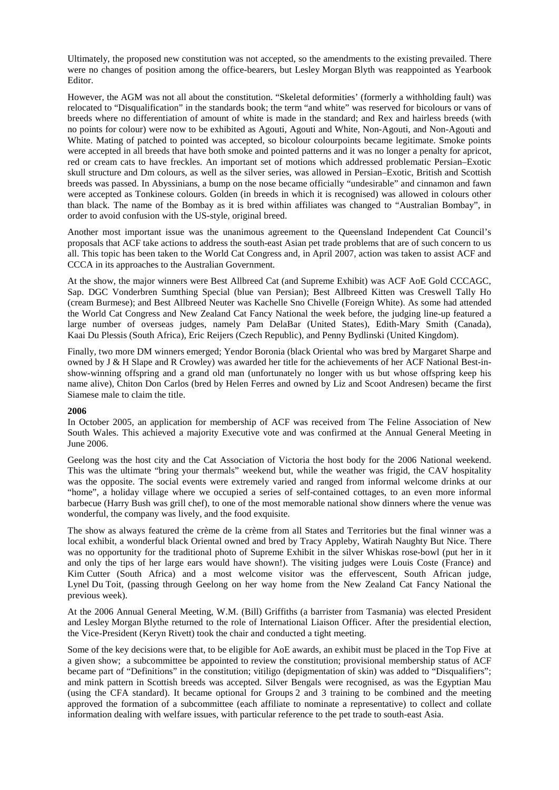Ultimately, the proposed new constitution was not accepted, so the amendments to the existing prevailed. There were no changes of position among the office-bearers, but Lesley Morgan Blyth was reappointed as Yearbook Editor.

However, the AGM was not all about the constitution. "Skeletal deformities' (formerly a withholding fault) was relocated to "Disqualification" in the standards book; the term "and white" was reserved for bicolours or vans of breeds where no differentiation of amount of white is made in the standard; and Rex and hairless breeds (with no points for colour) were now to be exhibited as Agouti, Agouti and White, Non-Agouti, and Non-Agouti and White. Mating of patched to pointed was accepted, so bicolour colourpoints became legitimate. Smoke points were accepted in all breeds that have both smoke and pointed patterns and it was no longer a penalty for apricot, red or cream cats to have freckles. An important set of motions which addressed problematic Persian–Exotic skull structure and Dm colours, as well as the silver series, was allowed in Persian–Exotic, British and Scottish breeds was passed. In Abyssinians, a bump on the nose became officially "undesirable" and cinnamon and fawn were accepted as Tonkinese colours. Golden (in breeds in which it is recognised) was allowed in colours other than black. The name of the Bombay as it is bred within affiliates was changed to "Australian Bombay", in order to avoid confusion with the US-style, original breed.

Another most important issue was the unanimous agreement to the Queensland Independent Cat Council's proposals that ACF take actions to address the south-east Asian pet trade problems that are of such concern to us all. This topic has been taken to the World Cat Congress and, in April 2007, action was taken to assist ACF and CCCA in its approaches to the Australian Government.

At the show, the major winners were Best Allbreed Cat (and Supreme Exhibit) was ACF AoE Gold CCCAGC, Sap. DGC Vonderbren Sumthing Special (blue van Persian); Best Allbreed Kitten was Creswell Tally Ho (cream Burmese); and Best Allbreed Neuter was Kachelle Sno Chivelle (Foreign White). As some had attended the World Cat Congress and New Zealand Cat Fancy National the week before, the judging line-up featured a large number of overseas judges, namely Pam DelaBar (United States), Edith-Mary Smith (Canada), Kaai Du Plessis (South Africa), Eric Reijers (Czech Republic), and Penny Bydlinski (United Kingdom).

Finally, two more DM winners emerged; Yendor Boronia (black Oriental who was bred by Margaret Sharpe and owned by J & H Slape and R Crowley) was awarded her title for the achievements of her ACF National Best-inshow-winning offspring and a grand old man (unfortunately no longer with us but whose offspring keep his name alive), Chiton Don Carlos (bred by Helen Ferres and owned by Liz and Scoot Andresen) became the first Siamese male to claim the title.

## **2006**

In October 2005, an application for membership of ACF was received from The Feline Association of New South Wales. This achieved a majority Executive vote and was confirmed at the Annual General Meeting in June 2006.

Geelong was the host city and the Cat Association of Victoria the host body for the 2006 National weekend. This was the ultimate "bring your thermals" weekend but, while the weather was frigid, the CAV hospitality was the opposite. The social events were extremely varied and ranged from informal welcome drinks at our "home", a holiday village where we occupied a series of self-contained cottages, to an even more informal barbecue (Harry Bush was grill chef), to one of the most memorable national show dinners where the venue was wonderful, the company was lively, and the food exquisite.

The show as always featured the crème de la crème from all States and Territories but the final winner was a local exhibit, a wonderful black Oriental owned and bred by Tracy Appleby, Watirah Naughty But Nice. There was no opportunity for the traditional photo of Supreme Exhibit in the silver Whiskas rose-bowl (put her in it and only the tips of her large ears would have shown!). The visiting judges were Louis Coste (France) and Kim Cutter (South Africa) and a most welcome visitor was the effervescent, South African judge, Lynel Du Toit, (passing through Geelong on her way home from the New Zealand Cat Fancy National the previous week).

At the 2006 Annual General Meeting, W.M. (Bill) Griffiths (a barrister from Tasmania) was elected President and Lesley Morgan Blythe returned to the role of International Liaison Officer. After the presidential election, the Vice-President (Keryn Rivett) took the chair and conducted a tight meeting.

Some of the key decisions were that, to be eligible for AoE awards, an exhibit must be placed in the Top Five at a given show; a subcommittee be appointed to review the constitution; provisional membership status of ACF became part of "Definitions" in the constitution; vitiligo (depigmentation of skin) was added to "Disqualifiers"; and mink pattern in Scottish breeds was accepted. Silver Bengals were recognised, as was the Egyptian Mau (using the CFA standard). It became optional for Groups 2 and 3 training to be combined and the meeting approved the formation of a subcommittee (each affiliate to nominate a representative) to collect and collate information dealing with welfare issues, with particular reference to the pet trade to south-east Asia.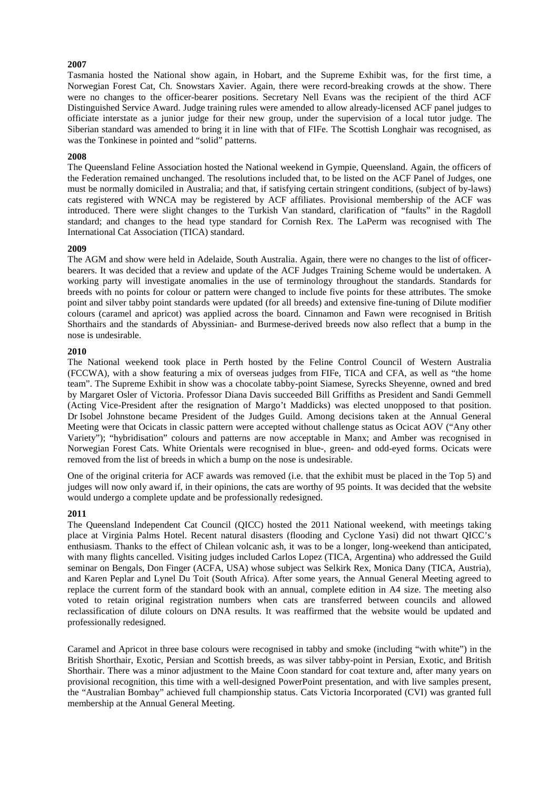Tasmania hosted the National show again, in Hobart, and the Supreme Exhibit was, for the first time, a Norwegian Forest Cat, Ch. Snowstars Xavier. Again, there were record-breaking crowds at the show. There were no changes to the officer-bearer positions. Secretary Nell Evans was the recipient of the third ACF Distinguished Service Award. Judge training rules were amended to allow already-licensed ACF panel judges to officiate interstate as a junior judge for their new group, under the supervision of a local tutor judge. The Siberian standard was amended to bring it in line with that of FIFe. The Scottish Longhair was recognised, as was the Tonkinese in pointed and "solid" patterns.

### **2008**

The Queensland Feline Association hosted the National weekend in Gympie, Queensland. Again, the officers of the Federation remained unchanged. The resolutions included that, to be listed on the ACF Panel of Judges, one must be normally domiciled in Australia; and that, if satisfying certain stringent conditions, (subject of by-laws) cats registered with WNCA may be registered by ACF affiliates. Provisional membership of the ACF was introduced. There were slight changes to the Turkish Van standard, clarification of "faults" in the Ragdoll standard; and changes to the head type standard for Cornish Rex. The LaPerm was recognised with The International Cat Association (TICA) standard.

## **2009**

The AGM and show were held in Adelaide, South Australia. Again, there were no changes to the list of officerbearers. It was decided that a review and update of the ACF Judges Training Scheme would be undertaken. A working party will investigate anomalies in the use of terminology throughout the standards. Standards for breeds with no points for colour or pattern were changed to include five points for these attributes. The smoke point and silver tabby point standards were updated (for all breeds) and extensive fine-tuning of Dilute modifier colours (caramel and apricot) was applied across the board. Cinnamon and Fawn were recognised in British Shorthairs and the standards of Abyssinian- and Burmese-derived breeds now also reflect that a bump in the nose is undesirable.

## **2010**

The National weekend took place in Perth hosted by the Feline Control Council of Western Australia (FCCWA), with a show featuring a mix of overseas judges from FIFe, TICA and CFA, as well as "the home team". The Supreme Exhibit in show was a chocolate tabby-point Siamese, Syrecks Sheyenne, owned and bred by Margaret Osler of Victoria. Professor Diana Davis succeeded Bill Griffiths as President and Sandi Gemmell (Acting Vice-President after the resignation of Margo't Maddicks) was elected unopposed to that position. Dr Isobel Johnstone became President of the Judges Guild. Among decisions taken at the Annual General Meeting were that Ocicats in classic pattern were accepted without challenge status as Ocicat AOV ("Any other Variety"); "hybridisation" colours and patterns are now acceptable in Manx; and Amber was recognised in Norwegian Forest Cats. White Orientals were recognised in blue-, green- and odd-eyed forms. Ocicats were removed from the list of breeds in which a bump on the nose is undesirable.

One of the original criteria for ACF awards was removed (i.e. that the exhibit must be placed in the Top 5) and judges will now only award if, in their opinions, the cats are worthy of 95 points. It was decided that the website would undergo a complete update and be professionally redesigned.

### **2011**

The Queensland Independent Cat Council (QICC) hosted the 2011 National weekend, with meetings taking place at Virginia Palms Hotel. Recent natural disasters (flooding and Cyclone Yasi) did not thwart QICC's enthusiasm. Thanks to the effect of Chilean volcanic ash, it was to be a longer, long-weekend than anticipated, with many flights cancelled. Visiting judges included Carlos Lopez (TICA, Argentina) who addressed the Guild seminar on Bengals, Don Finger (ACFA, USA) whose subject was Selkirk Rex, Monica Dany (TICA, Austria), and Karen Peplar and Lynel Du Toit (South Africa). After some years, the Annual General Meeting agreed to replace the current form of the standard book with an annual, complete edition in A4 size. The meeting also voted to retain original registration numbers when cats are transferred between councils and allowed reclassification of dilute colours on DNA results. It was reaffirmed that the website would be updated and professionally redesigned.

Caramel and Apricot in three base colours were recognised in tabby and smoke (including "with white") in the British Shorthair, Exotic, Persian and Scottish breeds, as was silver tabby-point in Persian, Exotic, and British Shorthair. There was a minor adjustment to the Maine Coon standard for coat texture and, after many years on provisional recognition, this time with a well-designed PowerPoint presentation, and with live samples present, the "Australian Bombay" achieved full championship status. Cats Victoria Incorporated (CVI) was granted full membership at the Annual General Meeting.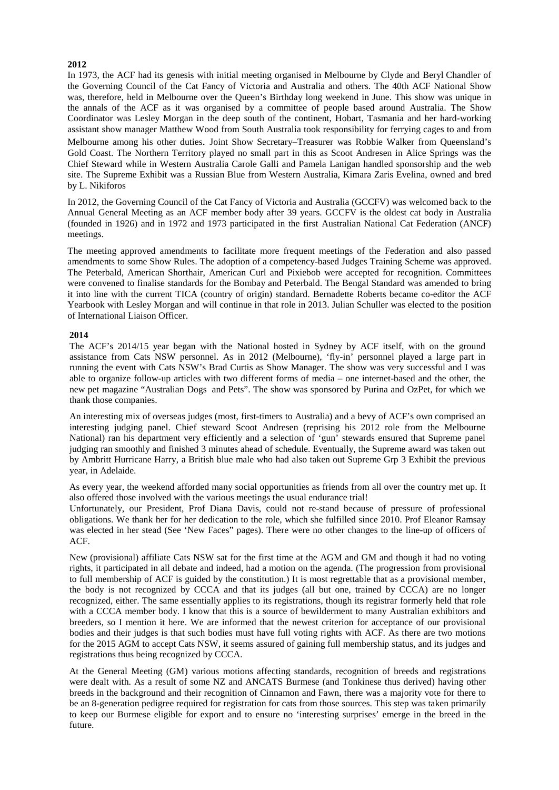In 1973, the ACF had its genesis with initial meeting organised in Melbourne by Clyde and Beryl Chandler of the Governing Council of the Cat Fancy of Victoria and Australia and others. The 40th ACF National Show was, therefore, held in Melbourne over the Queen's Birthday long weekend in June. This show was unique in the annals of the ACF as it was organised by a committee of people based around Australia. The Show Coordinator was Lesley Morgan in the deep south of the continent, Hobart, Tasmania and her hard-working assistant show manager Matthew Wood from South Australia took responsibility for ferrying cages to and from Melbourne among his other duties. Joint Show Secretary–Treasurer was Robbie Walker from Queensland's Gold Coast. The Northern Territory played no small part in this as Scoot Andresen in Alice Springs was the Chief Steward while in Western Australia Carole Galli and Pamela Lanigan handled sponsorship and the web site. The Supreme Exhibit was a Russian Blue from Western Australia, Kimara Zaris Evelina, owned and bred by L. Nikiforos

In 2012, the Governing Council of the Cat Fancy of Victoria and Australia (GCCFV) was welcomed back to the Annual General Meeting as an ACF member body after 39 years. GCCFV is the oldest cat body in Australia (founded in 1926) and in 1972 and 1973 participated in the first Australian National Cat Federation (ANCF) meetings.

The meeting approved amendments to facilitate more frequent meetings of the Federation and also passed amendments to some Show Rules. The adoption of a competency-based Judges Training Scheme was approved. The Peterbald, American Shorthair, American Curl and Pixiebob were accepted for recognition. Committees were convened to finalise standards for the Bombay and Peterbald. The Bengal Standard was amended to bring it into line with the current TICA (country of origin) standard. Bernadette Roberts became co-editor the ACF Yearbook with Lesley Morgan and will continue in that role in 2013. Julian Schuller was elected to the position of International Liaison Officer.

## **2014**

The ACF's 2014/15 year began with the National hosted in Sydney by ACF itself, with on the ground assistance from Cats NSW personnel. As in 2012 (Melbourne), 'fly-in' personnel played a large part in running the event with Cats NSW's Brad Curtis as Show Manager. The show was very successful and I was able to organize follow-up articles with two different forms of media – one internet-based and the other, the new pet magazine "Australian Dogs and Pets". The show was sponsored by Purina and OzPet, for which we thank those companies.

An interesting mix of overseas judges (most, first-timers to Australia) and a bevy of ACF's own comprised an interesting judging panel. Chief steward Scoot Andresen (reprising his 2012 role from the Melbourne National) ran his department very efficiently and a selection of 'gun' stewards ensured that Supreme panel judging ran smoothly and finished 3 minutes ahead of schedule. Eventually, the Supreme award was taken out by Ambritt Hurricane Harry, a British blue male who had also taken out Supreme Grp 3 Exhibit the previous year, in Adelaide.

As every year, the weekend afforded many social opportunities as friends from all over the country met up. It also offered those involved with the various meetings the usual endurance trial!

Unfortunately, our President, Prof Diana Davis, could not re-stand because of pressure of professional obligations. We thank her for her dedication to the role, which she fulfilled since 2010. Prof Eleanor Ramsay was elected in her stead (See 'New Faces" pages). There were no other changes to the line-up of officers of ACF.

New (provisional) affiliate Cats NSW sat for the first time at the AGM and GM and though it had no voting rights, it participated in all debate and indeed, had a motion on the agenda. (The progression from provisional to full membership of ACF is guided by the constitution.) It is most regrettable that as a provisional member, the body is not recognized by CCCA and that its judges (all but one, trained by CCCA) are no longer recognized, either. The same essentially applies to its registrations, though its registrar formerly held that role with a CCCA member body. I know that this is a source of bewilderment to many Australian exhibitors and breeders, so I mention it here. We are informed that the newest criterion for acceptance of our provisional bodies and their judges is that such bodies must have full voting rights with ACF. As there are two motions for the 2015 AGM to accept Cats NSW, it seems assured of gaining full membership status, and its judges and registrations thus being recognized by CCCA.

At the General Meeting (GM) various motions affecting standards, recognition of breeds and registrations were dealt with. As a result of some NZ and ANCATS Burmese (and Tonkinese thus derived) having other breeds in the background and their recognition of Cinnamon and Fawn, there was a majority vote for there to be an 8-generation pedigree required for registration for cats from those sources. This step was taken primarily to keep our Burmese eligible for export and to ensure no 'interesting surprises' emerge in the breed in the future.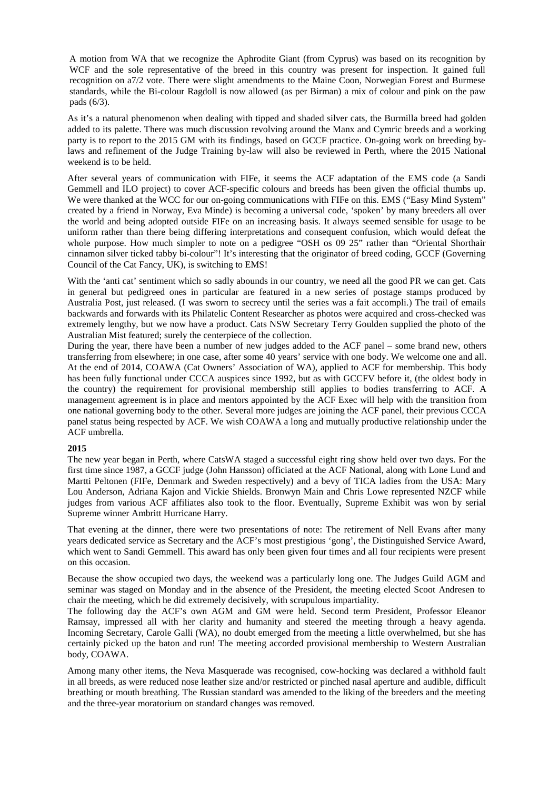A motion from WA that we recognize the Aphrodite Giant (from Cyprus) was based on its recognition by WCF and the sole representative of the breed in this country was present for inspection. It gained full recognition on a7/2 vote. There were slight amendments to the Maine Coon, Norwegian Forest and Burmese standards, while the Bi-colour Ragdoll is now allowed (as per Birman) a mix of colour and pink on the paw pads (6/3).

As it's a natural phenomenon when dealing with tipped and shaded silver cats, the Burmilla breed had golden added to its palette. There was much discussion revolving around the Manx and Cymric breeds and a working party is to report to the 2015 GM with its findings, based on GCCF practice. On-going work on breeding bylaws and refinement of the Judge Training by-law will also be reviewed in Perth, where the 2015 National weekend is to be held.

After several years of communication with FIFe, it seems the ACF adaptation of the EMS code (a Sandi Gemmell and ILO project) to cover ACF-specific colours and breeds has been given the official thumbs up. We were thanked at the WCC for our on-going communications with FIFe on this. EMS ("Easy Mind System" created by a friend in Norway, Eva Minde) is becoming a universal code, 'spoken' by many breeders all over the world and being adopted outside FIFe on an increasing basis. It always seemed sensible for usage to be uniform rather than there being differing interpretations and consequent confusion, which would defeat the whole purpose. How much simpler to note on a pedigree "OSH os 09 25" rather than "Oriental Shorthair cinnamon silver ticked tabby bi-colour"! It's interesting that the originator of breed coding, GCCF (Governing Council of the Cat Fancy, UK), is switching to EMS!

With the 'anti cat' sentiment which so sadly abounds in our country, we need all the good PR we can get. Cats in general but pedigreed ones in particular are featured in a new series of postage stamps produced by Australia Post, just released. (I was sworn to secrecy until the series was a fait accompli.) The trail of emails backwards and forwards with its Philatelic Content Researcher as photos were acquired and cross-checked was extremely lengthy, but we now have a product. Cats NSW Secretary Terry Goulden supplied the photo of the Australian Mist featured; surely the centerpiece of the collection.

During the year, there have been a number of new judges added to the ACF panel – some brand new, others transferring from elsewhere; in one case, after some 40 years' service with one body. We welcome one and all. At the end of 2014, COAWA (Cat Owners' Association of WA), applied to ACF for membership. This body has been fully functional under CCCA auspices since 1992, but as with GCCFV before it, (the oldest body in the country) the requirement for provisional membership still applies to bodies transferring to ACF. A management agreement is in place and mentors appointed by the ACF Exec will help with the transition from one national governing body to the other. Several more judges are joining the ACF panel, their previous CCCA panel status being respected by ACF. We wish COAWA a long and mutually productive relationship under the ACF umbrella.

#### **2015**

The new year began in Perth, where CatsWA staged a successful eight ring show held over two days. For the first time since 1987, a GCCF judge (John Hansson) officiated at the ACF National, along with Lone Lund and Martti Peltonen (FIFe, Denmark and Sweden respectively) and a bevy of TICA ladies from the USA: Mary Lou Anderson, Adriana Kajon and Vickie Shields. Bronwyn Main and Chris Lowe represented NZCF while judges from various ACF affiliates also took to the floor. Eventually, Supreme Exhibit was won by serial Supreme winner Ambritt Hurricane Harry.

That evening at the dinner, there were two presentations of note: The retirement of Nell Evans after many years dedicated service as Secretary and the ACF's most prestigious 'gong', the Distinguished Service Award, which went to Sandi Gemmell. This award has only been given four times and all four recipients were present on this occasion.

Because the show occupied two days, the weekend was a particularly long one. The Judges Guild AGM and seminar was staged on Monday and in the absence of the President, the meeting elected Scoot Andresen to chair the meeting, which he did extremely decisively, with scrupulous impartiality.

The following day the ACF's own AGM and GM were held. Second term President, Professor Eleanor Ramsay, impressed all with her clarity and humanity and steered the meeting through a heavy agenda. Incoming Secretary, Carole Galli (WA), no doubt emerged from the meeting a little overwhelmed, but she has certainly picked up the baton and run! The meeting accorded provisional membership to Western Australian body, COAWA.

Among many other items, the Neva Masquerade was recognised, cow-hocking was declared a withhold fault in all breeds, as were reduced nose leather size and/or restricted or pinched nasal aperture and audible, difficult breathing or mouth breathing. The Russian standard was amended to the liking of the breeders and the meeting and the three-year moratorium on standard changes was removed.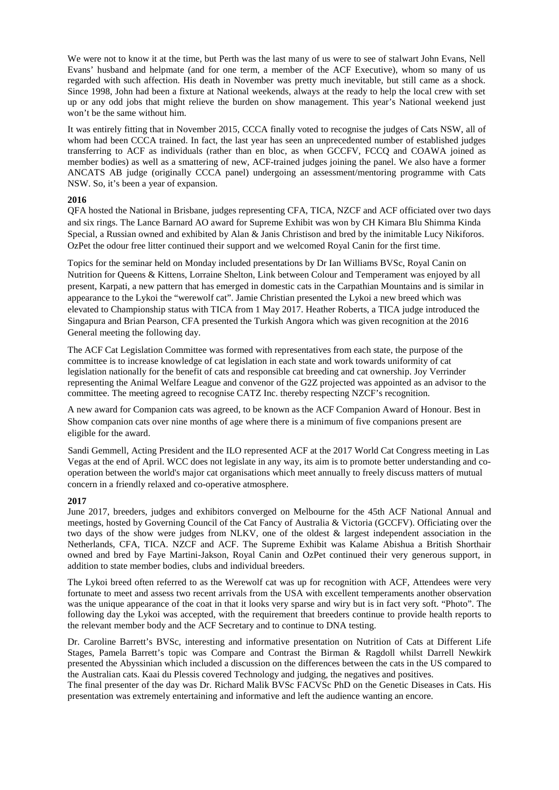We were not to know it at the time, but Perth was the last many of us were to see of stalwart John Evans, Nell Evans' husband and helpmate (and for one term, a member of the ACF Executive), whom so many of us regarded with such affection. His death in November was pretty much inevitable, but still came as a shock. Since 1998, John had been a fixture at National weekends, always at the ready to help the local crew with set up or any odd jobs that might relieve the burden on show management. This year's National weekend just won't be the same without him.

It was entirely fitting that in November 2015, CCCA finally voted to recognise the judges of Cats NSW, all of whom had been CCCA trained. In fact, the last year has seen an unprecedented number of established judges transferring to ACF as individuals (rather than en bloc, as when GCCFV, FCCQ and COAWA joined as member bodies) as well as a smattering of new, ACF-trained judges joining the panel. We also have a former ANCATS AB judge (originally CCCA panel) undergoing an assessment/mentoring programme with Cats NSW. So, it's been a year of expansion.

## **2016**

QFA hosted the National in Brisbane, judges representing CFA, TICA, NZCF and ACF officiated over two days and six rings. The Lance Barnard AO award for Supreme Exhibit was won by CH Kimara Blu Shimma Kinda Special, a Russian owned and exhibited by Alan & Janis Christison and bred by the inimitable Lucy Nikiforos. OzPet the odour free litter continued their support and we welcomed Royal Canin for the first time.

Topics for the seminar held on Monday included presentations by Dr Ian Williams BVSc, Royal Canin on Nutrition for Queens & Kittens, Lorraine Shelton, Link between Colour and Temperament was enjoyed by all present, Karpati, a new pattern that has emerged in domestic cats in the Carpathian Mountains and is similar in appearance to the Lykoi the "werewolf cat". Jamie Christian presented the Lykoi a new breed which was elevated to Championship status with TICA from 1 May 2017. Heather Roberts, a TICA judge introduced the Singapura and Brian Pearson, CFA presented the Turkish Angora which was given recognition at the 2016 General meeting the following day.

The ACF Cat Legislation Committee was formed with representatives from each state, the purpose of the committee is to increase knowledge of cat legislation in each state and work towards uniformity of cat legislation nationally for the benefit of cats and responsible cat breeding and cat ownership. Joy Verrinder representing the Animal Welfare League and convenor of the G2Z projected was appointed as an advisor to the committee. The meeting agreed to recognise CATZ Inc. thereby respecting NZCF's recognition.

A new award for Companion cats was agreed, to be known as the ACF Companion Award of Honour. Best in Show companion cats over nine months of age where there is a minimum of five companions present are eligible for the award.

Sandi Gemmell, Acting President and the ILO represented ACF at the 2017 World Cat Congress meeting in Las Vegas at the end of April. WCC does not legislate in any way, its aim is to promote better understanding and cooperation between the world's major cat organisations which meet annually to freely discuss matters of mutual concern in a friendly relaxed and co-operative atmosphere.

## **2017**

June 2017, breeders, judges and exhibitors converged on Melbourne for the 45th ACF National Annual and meetings, hosted by Governing Council of the Cat Fancy of Australia & Victoria (GCCFV). Officiating over the two days of the show were judges from NLKV, one of the oldest & largest independent association in the Netherlands, CFA, TICA. NZCF and ACF. The Supreme Exhibit was Kalame Abishua a British Shorthair owned and bred by Faye Martini-Jakson, Royal Canin and OzPet continued their very generous support, in addition to state member bodies, clubs and individual breeders.

The Lykoi breed often referred to as the Werewolf cat was up for recognition with ACF, Attendees were very fortunate to meet and assess two recent arrivals from the USA with excellent temperaments another observation was the unique appearance of the coat in that it looks very sparse and wiry but is in fact very soft. "Photo". The following day the Lykoi was accepted, with the requirement that breeders continue to provide health reports to the relevant member body and the ACF Secretary and to continue to DNA testing.

Dr. Caroline Barrett's BVSc, interesting and informative presentation on Nutrition of Cats at Different Life Stages, Pamela Barrett's topic was Compare and Contrast the Birman & Ragdoll whilst Darrell Newkirk presented the Abyssinian which included a discussion on the differences between the cats in the US compared to the Australian cats. Kaai du Plessis covered Technology and judging, the negatives and positives.

The final presenter of the day was Dr. Richard Malik BVSc FACVSc PhD on the Genetic Diseases in Cats. His presentation was extremely entertaining and informative and left the audience wanting an encore.